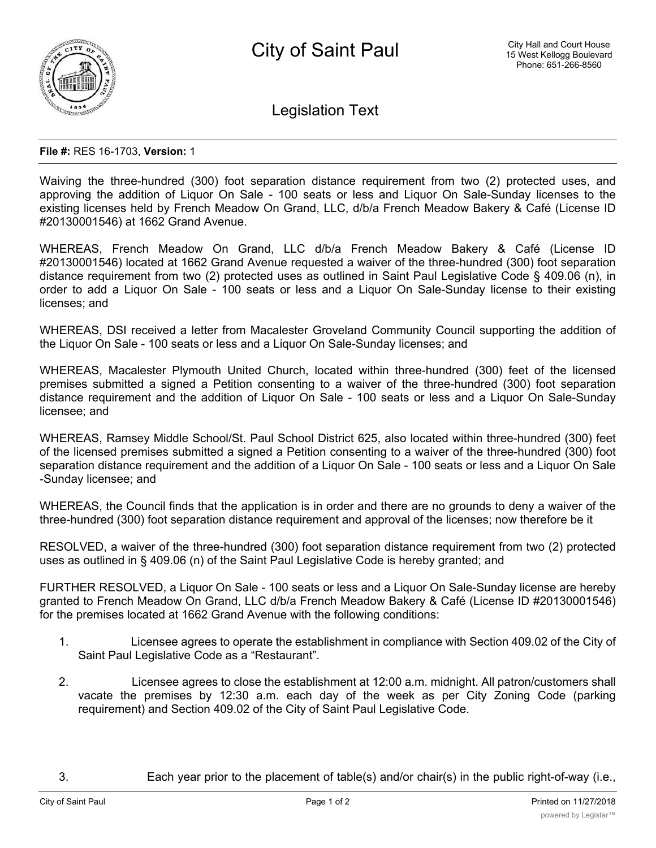

Legislation Text

## **File #:** RES 16-1703, **Version:** 1

Waiving the three-hundred (300) foot separation distance requirement from two (2) protected uses, and approving the addition of Liquor On Sale - 100 seats or less and Liquor On Sale-Sunday licenses to the existing licenses held by French Meadow On Grand, LLC, d/b/a French Meadow Bakery & Café (License ID #20130001546) at 1662 Grand Avenue.

WHEREAS, French Meadow On Grand, LLC d/b/a French Meadow Bakery & Café (License ID #20130001546) located at 1662 Grand Avenue requested a waiver of the three-hundred (300) foot separation distance requirement from two (2) protected uses as outlined in Saint Paul Legislative Code § 409.06 (n), in order to add a Liquor On Sale - 100 seats or less and a Liquor On Sale-Sunday license to their existing licenses; and

WHEREAS, DSI received a letter from Macalester Groveland Community Council supporting the addition of the Liquor On Sale - 100 seats or less and a Liquor On Sale-Sunday licenses; and

WHEREAS, Macalester Plymouth United Church, located within three-hundred (300) feet of the licensed premises submitted a signed a Petition consenting to a waiver of the three-hundred (300) foot separation distance requirement and the addition of Liquor On Sale - 100 seats or less and a Liquor On Sale-Sunday licensee; and

WHEREAS, Ramsey Middle School/St. Paul School District 625, also located within three-hundred (300) feet of the licensed premises submitted a signed a Petition consenting to a waiver of the three-hundred (300) foot separation distance requirement and the addition of a Liquor On Sale - 100 seats or less and a Liquor On Sale -Sunday licensee; and

WHEREAS, the Council finds that the application is in order and there are no grounds to deny a waiver of the three-hundred (300) foot separation distance requirement and approval of the licenses; now therefore be it

RESOLVED, a waiver of the three-hundred (300) foot separation distance requirement from two (2) protected uses as outlined in § 409.06 (n) of the Saint Paul Legislative Code is hereby granted; and

FURTHER RESOLVED, a Liquor On Sale - 100 seats or less and a Liquor On Sale-Sunday license are hereby granted to French Meadow On Grand, LLC d/b/a French Meadow Bakery & Café (License ID #20130001546) for the premises located at 1662 Grand Avenue with the following conditions:

- 1. Licensee agrees to operate the establishment in compliance with Section 409.02 of the City of Saint Paul Legislative Code as a "Restaurant".
- 2. Licensee agrees to close the establishment at 12:00 a.m. midnight. All patron/customers shall vacate the premises by 12:30 a.m. each day of the week as per City Zoning Code (parking requirement) and Section 409.02 of the City of Saint Paul Legislative Code.